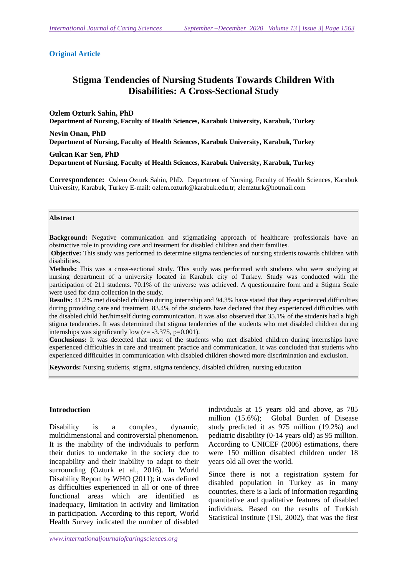#### **Original Article**

# **Stigma Tendencies of Nursing Students Towards Children With Disabilities: A Cross-Sectional Study**

**Ozlem Ozturk Sahin, PhD Department of Nursing, Faculty of Health Sciences, Karabuk University, Karabuk, Turkey** 

**Nevin Onan, PhD Department of Nursing, Faculty of Health Sciences, Karabuk University, Karabuk, Turkey** 

**Gulcan Kar Sen, PhD Department of Nursing, Faculty of Health Sciences, Karabuk University, Karabuk, Turkey** 

**Correspondence:** Ozlem Ozturk Sahin, PhD. Department of Nursing, Faculty of Health Sciences, Karabuk University, Karabuk, Turkey E-mail: ozlem.ozturk@karabuk.edu.tr; zlemzturk@hotmail.com

#### **Abstract**

**Background:** Negative communication and stigmatizing approach of healthcare professionals have an obstructive role in providing care and treatment for disabled children and their families.

**Objective:** This study was performed to determine stigma tendencies of nursing students towards children with disabilities.

**Methods:** This was a cross-sectional study. This study was performed with students who were studying at nursing department of a university located in Karabuk city of Turkey. Study was conducted with the participation of 211 students. 70.1% of the universe was achieved. A questionnaire form and a Stigma Scale were used for data collection in the study.

**Results:** 41.2% met disabled children during internship and 94.3% have stated that they experienced difficulties during providing care and treatment. 83.4% of the students have declared that they experienced difficulties with the disabled child her/himself during communication. It was also observed that 35.1% of the students had a high stigma tendencies. It was determined that stigma tendencies of the students who met disabled children during internships was significantly low  $(z = -3.375, p=0.001)$ .

**Conclusions:** It was detected that most of the students who met disabled children during internships have experienced difficulties in care and treatment practice and communication. It was concluded that students who experienced difficulties in communication with disabled children showed more discrimination and exclusion.

**Keywords:** Nursing students, stigma, stigma tendency, disabled children, nursing education

### **Introduction**

Disability is a complex, dynamic, multidimensional and controversial phenomenon. It is the inability of the individuals to perform their duties to undertake in the society due to incapability and their inability to adapt to their surrounding (Ozturk et al., 2016). In World Disability Report by WHO (2011); it was defined as difficulties experienced in all or one of three functional areas which are identified as inadequacy, limitation in activity and limitation in participation. According to this report, World Health Survey indicated the number of disabled individuals at 15 years old and above, as 785 million (15.6%); Global Burden of Disease study predicted it as 975 million (19.2%) and pediatric disability (0-14 years old) as 95 million. According to UNICEF (2006) estimations, there were 150 million disabled children under 18 years old all over the world.

Since there is not a registration system for disabled population in Turkey as in many countries, there is a lack of information regarding quantitative and qualitative features of disabled individuals. Based on the results of Turkish Statistical Institute (TSI, 2002), that was the first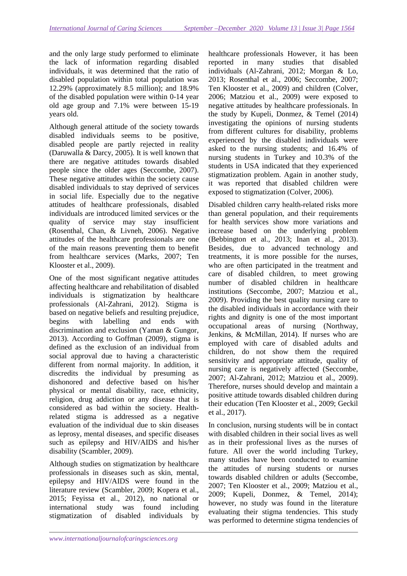and the only large study performed to eliminate the lack of information regarding disabled individuals, it was determined that the ratio of disabled population within total population was 12.29% (approximately 8.5 million); and 18.9% of the disabled population were within 0-14 year old age group and 7.1% were between 15-19 years old.

Although general attitude of the society towards disabled individuals seems to be positive, disabled people are partly rejected in reality (Daruwalla & Darcy, 2005). It is well known that there are negative attitudes towards disabled people since the older ages (Seccombe, 2007). These negative attitudes within the society cause disabled individuals to stay deprived of services in social life. Especially due to the negative attitudes of healthcare professionals, disabled individuals are introduced limited services or the quality of service may stay insufficient (Rosenthal, Chan, & Livneh, 2006). Negative attitudes of the healthcare professionals are one of the main reasons preventing them to benefit from healthcare services (Marks, 2007; Ten Klooster et al., 2009).

One of the most significant negative attitudes affecting healthcare and rehabilitation of disabled individuals is stigmatization by healthcare professionals (Al-Zahrani, 2012). Stigma is based on negative beliefs and resulting prejudice, begins with labelling and ends with discrimination and exclusion (Yaman & Gungor, 2013). According to Goffman (2009), stigma is defined as the exclusion of an individual from social approval due to having a characteristic different from normal majority. In addition, it discredits the individual by presuming as dishonored and defective based on his/her physical or mental disability, race, ethnicity, religion, drug addiction or any disease that is considered as bad within the society. Healthrelated stigma is addressed as a negative evaluation of the individual due to skin diseases as leprosy, mental diseases, and specific diseases such as epilepsy and HIV/AIDS and his/her disability (Scambler, 2009).

Although studies on stigmatization by healthcare professionals in diseases such as skin, mental, epilepsy and HIV/AIDS were found in the literature review (Scambler, 2009; Kopera et al., 2015; Feyissa et al., 2012), no national or international study was found including stigmatization of disabled individuals by

healthcare professionals However, it has been reported in many studies that disabled individuals (Al-Zahrani, 2012; Morgan & Lo, 2013; Rosenthal et al., 2006; Seccombe, 2007; Ten Klooster et al., 2009) and children (Colver, 2006; Matziou et al., 2009) were exposed to negative attitudes by healthcare professionals. In the study by Kupeli, Donmez, & Temel (2014) investigating the opinions of nursing students from different cultures for disability, problems experienced by the disabled individuals were asked to the nursing students; and 16.4% of nursing students in Turkey and 10.3% of the students in USA indicated that they experienced stigmatization problem. Again in another study, it was reported that disabled children were exposed to stigmatization (Colver, 2006).

Disabled children carry health-related risks more than general population, and their requirements for health services show more variations and increase based on the underlying problem (Bebbington et al., 2013; Inan et al., 2013). Besides, due to advanced technology and treatments, it is more possible for the nurses, who are often participated in the treatment and care of disabled children, to meet growing number of disabled children in healthcare institutions (Seccombe, 2007; Matziou et al., 2009). Providing the best quality nursing care to the disabled individuals in accordance with their rights and dignity is one of the most important occupational areas of nursing (Northway, Jenkins, & McMillan, 2014). If nurses who are employed with care of disabled adults and children, do not show them the required sensitivity and appropriate attitude, quality of nursing care is negatively affected (Seccombe, 2007; Al-Zahrani, 2012; Matziou et al., 2009). Therefore, nurses should develop and maintain a positive attitude towards disabled children during their education (Ten Klooster et al., 2009; Geckil et al., 2017).

In conclusion, nursing students will be in contact with disabled children in their social lives as well as in their professional lives as the nurses of future. All over the world including Turkey, many studies have been conducted to examine the attitudes of nursing students or nurses towards disabled children or adults (Seccombe, 2007; Ten Klooster et al., 2009; Matziou et al., 2009; Kupeli, Donmez, & Temel, 2014); however, no study was found in the literature evaluating their stigma tendencies. This study was performed to determine stigma tendencies of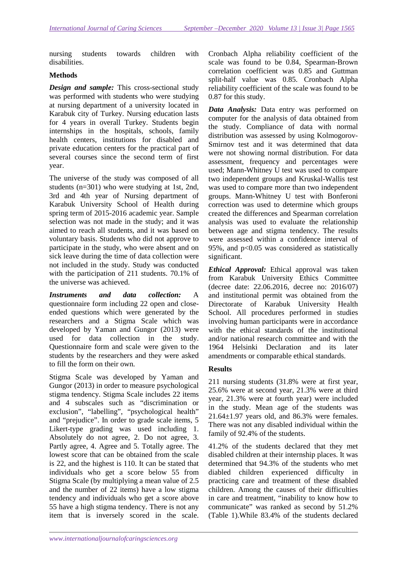nursing students towards children with disabilities.

# **Methods**

*Design and sample:* This cross-sectional study was performed with students who were studying at nursing department of a university located in Karabuk city of Turkey. Nursing education lasts for 4 years in overall Turkey. Students begin internships in the hospitals, schools, family health centers, institutions for disabled and private education centers for the practical part of several courses since the second term of first year.

The universe of the study was composed of all students (n=301) who were studying at 1st, 2nd, 3rd and 4th year of Nursing department of Karabuk University School of Health during spring term of 2015-2016 academic year. Sample selection was not made in the study; and it was aimed to reach all students, and it was based on voluntary basis. Students who did not approve to participate in the study, who were absent and on sick leave during the time of data collection were not included in the study. Study was conducted with the participation of 211 students. 70.1% of the universe was achieved.

*Instruments and data collection:* A questionnaire form including 22 open and closeended questions which were generated by the researchers and a Stigma Scale which was developed by Yaman and Gungor (2013) were used for data collection in the study. Questionnaire form and scale were given to the students by the researchers and they were asked to fill the form on their own.

Stigma Scale was developed by Yaman and Gungor (2013) in order to measure psychological stigma tendency. Stigma Scale includes 22 items and 4 subscales such as "discrimination or exclusion", "labelling", "psychological health" and "prejudice". In order to grade scale items, 5 Likert-type grading was used including 1. Absolutely do not agree, 2. Do not agree, 3. Partly agree, 4. Agree and 5. Totally agree. The lowest score that can be obtained from the scale is 22, and the highest is 110. It can be stated that individuals who get a score below 55 from Stigma Scale (by multiplying a mean value of 2.5 and the number of 22 items) have a low stigma tendency and individuals who get a score above 55 have a high stigma tendency. There is not any item that is inversely scored in the scale. Cronbach Alpha reliability coefficient of the scale was found to be 0.84, Spearman-Brown correlation coefficient was 0.85 and Guttman split-half value was 0.85. Cronbach Alpha reliability coefficient of the scale was found to be 0.87 for this study.

*Data Analysis:* Data entry was performed on computer for the analysis of data obtained from the study. Compliance of data with normal distribution was assessed by using Kolmogorov-Smirnov test and it was determined that data were not showing normal distribution. For data assessment, frequency and percentages were used; Mann-Whitney U test was used to compare two independent groups and Kruskal-Wallis test was used to compare more than two independent groups. Mann-Whitney U test with Bonferoni correction was used to determine which groups created the differences and Spearman correlation analysis was used to evaluate the relationship between age and stigma tendency. The results were assessed within a confidence interval of 95%, and  $p<0.05$  was considered as statistically significant.

*Ethical Approval:* Ethical approval was taken from Karabuk University Ethics Committee (decree date: 22.06.2016, decree no: 2016/07) and institutional permit was obtained from the Directorate of Karabuk University Health School. All procedures performed in studies involving human participants were in accordance with the ethical standards of the institutional and/or national research committee and with the 1964 Helsinki Declaration and its later amendments or comparable ethical standards.

# **Results**

211 nursing students (31.8% were at first year, 25.6% were at second year, 21.3% were at third year, 21.3% were at fourth year) were included in the study. Mean age of the students was  $21.64 \pm 1.97$  years old, and 86.3% were females. There was not any disabled individual within the family of 92.4% of the students.

41.2% of the students declared that they met disabled children at their internship places. It was determined that 94.3% of the students who met diabled children experienced difficulty in practicing care and treatment of these disabled children. Among the causes of their difficulties in care and treatment, "inability to know how to communicate" was ranked as second by 51.2% (Table 1).While 83.4% of the students declared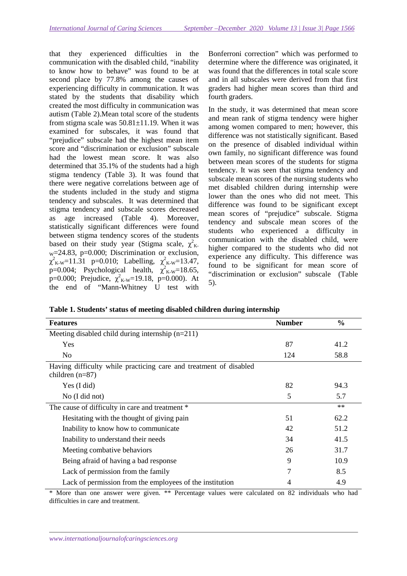that they experienced difficulties in the communication with the disabled child, "inability to know how to behave" was found to be at second place by 77.8% among the causes of experiencing difficulty in communication. It was stated by the students that disability which created the most difficulty in communication was autism (Table 2).Mean total score of the students from stigma scale was 50.81±11.19. When it was examined for subscales, it was found that "prejudice" subscale had the highest mean item score and "discrimination or exclusion" subscale had the lowest mean score. It was also determined that 35.1% of the students had a high stigma tendency (Table 3). It was found that there were negative correlations between age of the students included in the study and stigma tendency and subscales. It was determined that stigma tendency and subscale scores decreased as age increased (Table 4). Moreover, statistically significant differences were found between stigma tendency scores of the students based on their study year (Stigma scale,  $\chi^2$ <sub>K</sub>. w=24.83, p=0.000; Discrimination or exclusion,  $\chi^2_{K-W}$ =11.31 p=0.010; Labelling,  $\chi^2_{K-W}$ =13.47,  $\overline{p}=0.004$ ; Psychological health,  $\chi^2_{K-W}=18.65$ , p=0.000; Prejudice,  $\chi^2_{K-W}$ =19.18, p=0.000). At the end of "Mann-Whitney U test with

Bonferroni correction" which was performed to determine where the difference was originated, it was found that the differences in total scale score and in all subscales were derived from that first graders had higher mean scores than third and fourth graders.

In the study, it was determined that mean score and mean rank of stigma tendency were higher among women compared to men; however, this difference was not statistically significant. Based on the presence of disabled individual within own family, no significant difference was found between mean scores of the students for stigma tendency. It was seen that stigma tendency and subscale mean scores of the nursing students who met disabled children during internship were lower than the ones who did not meet. This difference was found to be significant except mean scores of "prejudice" subscale. Stigma tendency and subscale mean scores of the students who experienced a difficulty in communication with the disabled child, were higher compared to the students who did not experience any difficulty. This difference was found to be significant for mean score of "discrimination or exclusion" subscale (Table 5).

**Table 1. Students' status of meeting disabled children during internship** 

| <b>Features</b>                                                                        | <b>Number</b> | $\frac{0}{0}$ |
|----------------------------------------------------------------------------------------|---------------|---------------|
| Meeting disabled child during internship $(n=211)$                                     |               |               |
| Yes                                                                                    | 87            | 41.2          |
| N <sub>0</sub>                                                                         | 124           | 58.8          |
| Having difficulty while practicing care and treatment of disabled<br>children $(n=87)$ |               |               |
| Yes (I did)                                                                            | 82            | 94.3          |
| No (I did not)                                                                         | 5             | 5.7           |
| The cause of difficulty in care and treatment *                                        |               | $**$          |
| Hesitating with the thought of giving pain                                             | 51            | 62.2          |
| Inability to know how to communicate                                                   | 42            | 51.2          |
| Inability to understand their needs                                                    | 34            | 41.5          |
| Meeting combative behaviors                                                            | 26            | 31.7          |
| Being a fraid of having a bad response                                                 | 9             | 10.9          |
| Lack of permission from the family                                                     | 7             | 8.5           |
| Lack of permission from the employees of the institution                               | 4             | 4.9           |

\* More than one answer were given. \*\* Percentage values were calculated on 82 individuals who had difficulties in care and treatment.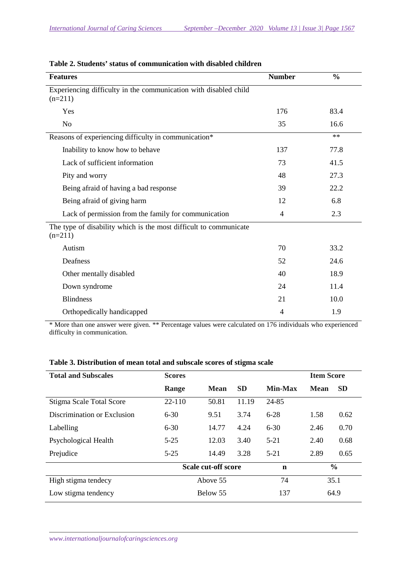| <b>Features</b>                                                                | <b>Number</b> | $\frac{0}{0}$ |
|--------------------------------------------------------------------------------|---------------|---------------|
| Experiencing difficulty in the communication with disabled child<br>$(n=211)$  |               |               |
| Yes                                                                            | 176           | 83.4          |
| N <sub>o</sub>                                                                 | 35            | 16.6          |
| Reasons of experiencing difficulty in communication*                           |               | $**$          |
| Inability to know how to behave                                                | 137           | 77.8          |
| Lack of sufficient information                                                 | 73            | 41.5          |
| Pity and worry                                                                 | 48            | 27.3          |
| Being afraid of having a bad response                                          | 39            | 22.2          |
| Being afraid of giving harm                                                    | 12            | 6.8           |
| Lack of permission from the family for communication                           | 4             | 2.3           |
| The type of disability which is the most difficult to communicate<br>$(n=211)$ |               |               |
| Autism                                                                         | 70            | 33.2          |
| Deafness                                                                       | 52            | 24.6          |
| Other mentally disabled                                                        | 40            | 18.9          |
| Down syndrome                                                                  | 24            | 11.4          |
| <b>Blindness</b>                                                               | 21            | 10.0          |
| Orthopedically handicapped                                                     | 4             | 1.9           |

|  |  |  |  | Table 2. Students' status of communication with disabled children |
|--|--|--|--|-------------------------------------------------------------------|
|--|--|--|--|-------------------------------------------------------------------|

\* More than one answer were given. \*\* Percentage values were calculated on 176 individuals who experienced difficulty in communication.

| <b>Total and Subscales</b>      | <b>Scores</b>       | <b>Item Score</b> |           |                |             |           |
|---------------------------------|---------------------|-------------------|-----------|----------------|-------------|-----------|
|                                 | Range               | <b>Mean</b>       | <b>SD</b> | <b>Min-Max</b> | <b>Mean</b> | <b>SD</b> |
| <b>Stigma Scale Total Score</b> | $22 - 110$          | 50.81             | 11.19     | 24-85          |             |           |
| Discrimination or Exclusion     | $6 - 30$            | 9.51              | 3.74      | $6 - 28$       | 1.58        | 0.62      |
| Labelling                       | $6 - 30$            | 14.77             | 4.24      | $6 - 30$       | 2.46        | 0.70      |
| Psychological Health            | $5 - 25$            | 12.03             | 3.40      | $5 - 21$       | 2.40        | 0.68      |
| Prejudice                       | $5 - 25$            | 14.49             | 3.28      | $5-21$         | 2.89        | 0.65      |
|                                 | Scale cut-off score |                   | n         | $\frac{6}{9}$  |             |           |
| High stigma tendecy             |                     | Above 55          |           | 74             | 35.1        |           |
| Low stigma tendency             |                     | Below 55          |           | 137            | 64.9        |           |

# **Table 3. Distribution of mean total and subscale scores of stigma scale**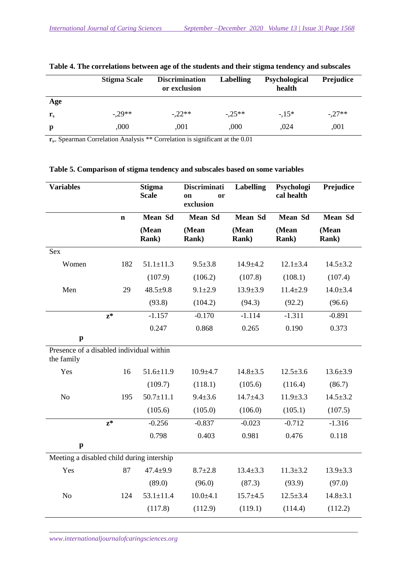|             | <b>Stigma Scale</b> | <b>Discrimination</b><br>or exclusion | <b>Labelling</b> | Psychological<br>health | <b>Prejudice</b> |
|-------------|---------------------|---------------------------------------|------------------|-------------------------|------------------|
| Age         |                     |                                       |                  |                         |                  |
| ${\bf r}_s$ | $-29**$             | $-22**$                               | $-.25**$         | $-15*$                  | $-.27**$         |
| p           | ,000                | ,001                                  | ,000             | ,024                    | ,001             |

| Table 4. The correlations between age of the students and their stigma tendency and subscales |  |  |  |  |  |  |
|-----------------------------------------------------------------------------------------------|--|--|--|--|--|--|
|                                                                                               |  |  |  |  |  |  |

**r**<sub>s=</sub> Spearman Correlation Analysis \*\* Correlation is significant at the 0.01

| <b>Variables</b>                                       |             | <b>Stigma</b><br><b>Scale</b> | <b>Discriminati</b><br><b>or</b><br><sub>on</sub><br>exclusion | <b>Labelling</b>       | Psychologi<br>cal health | Prejudice              |
|--------------------------------------------------------|-------------|-------------------------------|----------------------------------------------------------------|------------------------|--------------------------|------------------------|
|                                                        | $\mathbf n$ | <b>Mean Sd</b>                | Mean Sd                                                        | <b>Mean Sd</b>         | <b>Mean Sd</b>           | <b>Mean Sd</b>         |
|                                                        |             | (Mean<br><b>Rank</b> )        | (Mean<br><b>Rank</b> )                                         | (Mean<br><b>Rank</b> ) | (Mean<br><b>Rank</b> )   | (Mean<br><b>Rank</b> ) |
| <b>Sex</b>                                             |             |                               |                                                                |                        |                          |                        |
| Women                                                  | 182         | $51.1 \pm 11.3$               | $9.5 \pm 3.8$                                                  | $14.9 + 4.2$           | $12.1 \pm 3.4$           | $14.5 \pm 3.2$         |
|                                                        |             | (107.9)                       | (106.2)                                                        | (107.8)                | (108.1)                  | (107.4)                |
| Men                                                    | 29          | $48.5 + 9.8$                  | $9.1 + 2.9$                                                    | $13.9 \pm 3.9$         | $11.4 \pm 2.9$           | $14.0 \pm 3.4$         |
|                                                        |             | (93.8)                        | (104.2)                                                        | (94.3)                 | (92.2)                   | (96.6)                 |
| $z^*$                                                  |             | $-1.157$                      | $-0.170$                                                       | $-1.114$               | $-1.311$                 | $-0.891$               |
|                                                        |             | 0.247                         | 0.868                                                          | 0.265                  | 0.190                    | 0.373                  |
| $\mathbf{p}$                                           |             |                               |                                                                |                        |                          |                        |
| Presence of a disabled individual within<br>the family |             |                               |                                                                |                        |                          |                        |
| Yes                                                    | 16          | $51.6 \pm 11.9$               | $10.9 + 4.7$                                                   | $14.8 \pm 3.5$         | $12.5 \pm 3.6$           | $13.6 \pm 3.9$         |
|                                                        |             | (109.7)                       | (118.1)                                                        | (105.6)                | (116.4)                  | (86.7)                 |
| N <sub>o</sub>                                         | 195         | $50.7 \pm 11.1$               | $9.4 \pm 3.6$                                                  | $14.7 + 4.3$           | $11.9 \pm 3.3$           | $14.5 \pm 3.2$         |
|                                                        |             | (105.6)                       | (105.0)                                                        | (106.0)                | (105.1)                  | (107.5)                |
| $z^*$                                                  |             | $-0.256$                      | $-0.837$                                                       | $-0.023$               | $-0.712$                 | $-1.316$               |
|                                                        |             | 0.798                         | 0.403                                                          | 0.981                  | 0.476                    | 0.118                  |
| $\mathbf{p}$                                           |             |                               |                                                                |                        |                          |                        |
| Meeting a disabled child during intership              |             |                               |                                                                |                        |                          |                        |
| Yes                                                    | 87          | $47.4 + 9.9$                  | $8.7 \pm 2.8$                                                  | $13.4 \pm 3.3$         | $11.3 \pm 3.2$           | $13.9 \pm 3.3$         |
|                                                        |             | (89.0)                        | (96.0)                                                         | (87.3)                 | (93.9)                   | (97.0)                 |
| No                                                     | 124         | $53.1 \pm 11.4$               | $10.0 + 4.1$                                                   | $15.7 + 4.5$           | $12.5 \pm 3.4$           | $14.8 \pm 3.1$         |
|                                                        |             | (117.8)                       | (112.9)                                                        | (119.1)                | (114.4)                  | (112.2)                |

**Table 5. Comparison of stigma tendency and subscales based on some variables** 

*www.internationaljournalofcaringsciences.org*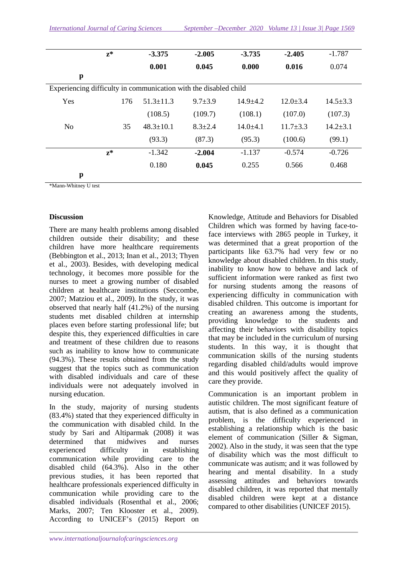|                                                                  | $z^*$ | $-3.375$        | $-2.005$      | $-3.735$     | $-2.405$       | $-1.787$       |
|------------------------------------------------------------------|-------|-----------------|---------------|--------------|----------------|----------------|
|                                                                  |       | 0.001           | 0.045         |              | 0.016          | 0.074          |
| $\mathbf{p}$                                                     |       |                 |               |              |                |                |
| Experiencing difficulty in communication with the disabled child |       |                 |               |              |                |                |
| Yes                                                              | 176   | $51.3 \pm 11.3$ | $9.7 + 3.9$   | $14.9 + 4.2$ | $12.0 \pm 3.4$ | $14.5 \pm 3.3$ |
|                                                                  |       | (108.5)         | (109.7)       | (108.1)      | (107.0)        | (107.3)        |
| N <sub>0</sub>                                                   | 35    | $48.3 \pm 10.1$ | $8.3 \pm 2.4$ | $14.0 + 4.1$ | $11.7 \pm 3.3$ | $14.2 \pm 3.1$ |
|                                                                  |       | (93.3)          | (87.3)        | (95.3)       | (100.6)        | (99.1)         |
|                                                                  | $z^*$ | $-1.342$        | $-2.004$      | $-1.137$     | $-0.574$       | $-0.726$       |
|                                                                  |       | 0.180           | 0.045         | 0.255        | 0.566          | 0.468          |
| p                                                                |       |                 |               |              |                |                |

\*Mann-Whitney U test

## **Discussion**

There are many health problems among disabled children outside their disability; and these children have more healthcare requirements (Bebbington et al., 2013; Inan et al., 2013; Thyen et al., 2003). Besides, with developing medical technology, it becomes more possible for the nurses to meet a growing number of disabled children at healthcare institutions (Seccombe, 2007; Matziou et al., 2009). In the study, it was observed that nearly half (41.2%) of the nursing students met disabled children at internship places even before starting professional life; but despite this, they experienced difficulties in care and treatment of these children due to reasons such as inability to know how to communicate (94.3%). These results obtained from the study suggest that the topics such as communication with disabled individuals and care of these individuals were not adequately involved in nursing education.

In the study, majority of nursing students (83.4%) stated that they experienced difficulty in the communication with disabled child. In the study by Sari and Altiparmak (2008) it was determined that midwives and nurses experienced difficulty in establishing communication while providing care to the disabled child (64.3%). Also in the other previous studies, it has been reported that healthcare professionals experienced difficulty in communication while providing care to the disabled individuals (Rosenthal et al., 2006; Marks, 2007; Ten Klooster et al., 2009). According to UNICEF's (2015) Report on

Knowledge, Attitude and Behaviors for Disabled Children which was formed by having face-toface interviews with 2865 people in Turkey, it was determined that a great proportion of the participants like 63.7% had very few or no knowledge about disabled children. In this study, inability to know how to behave and lack of sufficient information were ranked as first two for nursing students among the reasons of experiencing difficulty in communication with disabled children. This outcome is important for creating an awareness among the students, providing knowledge to the students and affecting their behaviors with disability topics that may be included in the curriculum of nursing students. In this way, it is thought that communication skills of the nursing students regarding disabled child/adults would improve and this would positively affect the quality of care they provide.

Communication is an important problem in autistic children. The most significant feature of autism, that is also defined as a communication problem, is the difficulty experienced in establishing a relationship which is the basic element of communication (Siller & Sigman, 2002). Also in the study, it was seen that the type of disability which was the most difficult to communicate was autism; and it was followed by hearing and mental disability. In a study assessing attitudes and behaviors towards disabled children, it was reported that mentally disabled children were kept at a distance compared to other disabilities (UNICEF 2015).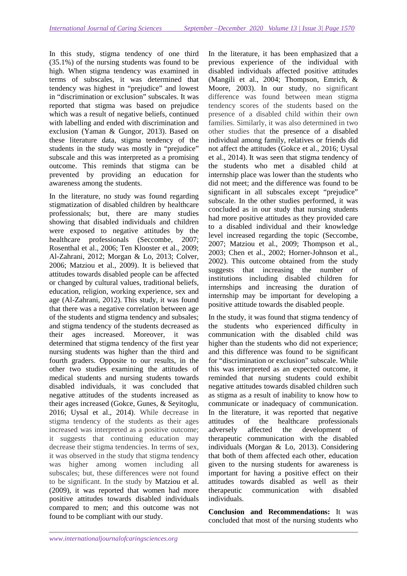In this study, stigma tendency of one third (35.1%) of the nursing students was found to be high. When stigma tendency was examined in terms of subscales, it was determined that tendency was highest in "prejudice" and lowest in "discrimination or exclusion" subscales. It was reported that stigma was based on prejudice which was a result of negative beliefs, continued with labelling and ended with discrimination and exclusion (Yaman & Gungor, 2013). Based on these literature data, stigma tendency of the students in the study was mostly in "prejudice" subscale and this was interpreted as a promising outcome. This reminds that stigma can be prevented by providing an education for awareness among the students.

In the literature, no study was found regarding stigmatization of disabled children by healthcare professionals; but, there are many studies showing that disabled individuals and children were exposed to negative attitudes by the healthcare professionals (Seccombe, 2007; Rosenthal et al., 2006; Ten Klooster et al., 2009; Al-Zahrani, 2012; Morgan & Lo, 2013; Colver, 2006; Matziou et al., 2009). It is believed that attitudes towards disabled people can be affected or changed by cultural values, traditional beliefs, education, religion, working experience, sex and age (Al-Zahrani, 2012). This study, it was found that there was a negative correlation between age of the students and stigma tendency and subsales; and stigma tendency of the students decreased as their ages increased. Moreover, it was determined that stigma tendency of the first year nursing students was higher than the third and fourth graders. Opposite to our results, in the other two studies examining the attitudes of medical students and nursing students towards disabled individuals, it was concluded that negative attitudes of the students increased as their ages increased (Gokce, Gunes, & Seyitoglu, 2016; Uysal et al., 2014). While decrease in stigma tendency of the students as their ages increased was interpreted as a positive outcome; it suggests that continuing education may decrease their stigma tendencies. In terms of sex, it was observed in the study that stigma tendency was higher among women including all subscales; but, these differences were not found to be significant. In the study by Matziou et al. (2009), it was reported that women had more positive attitudes towards disabled individuals compared to men; and this outcome was not found to be compliant with our study.

In the literature, it has been emphasized that a previous experience of the individual with disabled individuals affected positive attitudes (Mangili et al., 2004; Thompson, Emrich, & Moore, 2003). In our study, no significant difference was found between mean stigma tendency scores of the students based on the presence of a disabled child within their own families. Similarly, it was also determined in two other studies that the presence of a disabled individual among family, relatives or friends did not affect the attitudes (Gokce et al., 2016; Uysal et al., 2014). It was seen that stigma tendency of the students who met a disabled child at internship place was lower than the students who did not meet; and the difference was found to be significant in all subscales except "prejudice" subscale. In the other studies performed, it was concluded as in our study that nursing students had more positive attitudes as they provided care to a disabled individual and their knowledge level increased regarding the topic (Seccombe, 2007; Matziou et al., 2009; Thompson et al., 2003; Chen et al., 2002; Horner-Johnson et al., 2002). This outcome obtained from the study suggests that increasing the number of institutions including disabled children for internships and increasing the duration of internship may be important for developing a positive attitude towards the disabled people.

In the study, it was found that stigma tendency of the students who experienced difficulty in communication with the disabled child was higher than the students who did not experience; and this difference was found to be significant for "discrimination or exclusion" subscale. While this was interpreted as an expected outcome, it reminded that nursing students could exhibit negative attitudes towards disabled children such as stigma as a result of inability to know how to communicate or inadequacy of communication. In the literature, it was reported that negative attitudes of the healthcare professionals adversely affected the development of therapeutic communication with the disabled individuals (Morgan & Lo, 2013). Considering that both of them affected each other, education given to the nursing students for awareness is important for having a positive effect on their attitudes towards disabled as well as their therapeutic communication with disabled individuals.

**Conclusion and Recommendations:** It was concluded that most of the nursing students who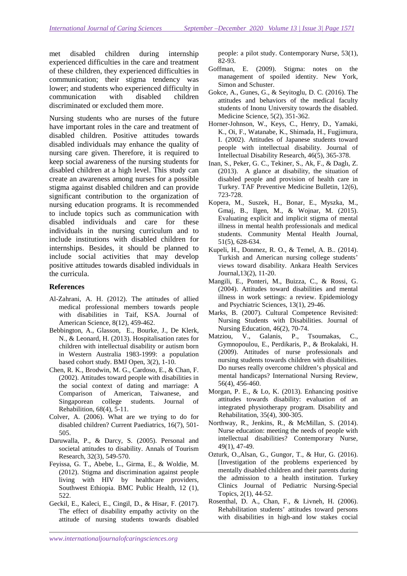met disabled children during internship experienced difficulties in the care and treatment of these children, they experienced difficulties in communication; their stigma tendency was lower; and students who experienced difficulty in communication with disabled children discriminated or excluded them more.

Nursing students who are nurses of the future have important roles in the care and treatment of disabled children. Positive attitudes towards disabled individuals may enhance the quality of nursing care given. Therefore, it is required to keep social awareness of the nursing students for disabled children at a high level. This study can create an awareness among nurses for a possible stigma against disabled children and can provide significant contribution to the organization of nursing education programs. It is recommended to include topics such as communication with disabled individuals and care for these individuals in the nursing curriculum and to include institutions with disabled children for internships. Besides, it should be planned to include social activities that may develop positive attitudes towards disabled individuals in the curricula.

### **References**

- Al-Zahrani, A. H. (2012). The attitudes of allied medical professional members towards people with disabilities in Taif, KSA. Journal of American Science, 8(12), 459-462.
- Bebbington, A., Glasson, E., Bourke, J., De Klerk, N., & Leonard, H. (2013). Hospitalisation rates for children with intellectual disability or autism born in Western Australia 1983-1999: a population based cohort study. BMJ Open, 3(2), 1-10.
- Chen, R. K., Brodwin, M. G., Cardoso, E., & Chan, F. (2002). Attitudes toward people with disabilities in the social context of dating and marriage: A Comparison of American, Taiwanese, and Singaporean college students. Journal of Rehabilition, 68(4), 5-11.
- Colver, A. (2006). What are we trying to do for disabled children? Current Paediatrics, 16(7), 501- 505.
- Daruwalla, P., & Darcy, S. (2005). Personal and societal attitudes to disability. Annals of Tourism Research, 32(3), 549-570.
- Feyissa, G. T., Abebe, L., Girma, E., & Woldie, M. (2012). Stigma and discrimination against people living with HIV by healthcare providers, Southwest Ethiopia. BMC Public Health, 12 (1), 522.
- Geckil, E., Kaleci, E., Cingil, D., & Hisar, F. (2017). The effect of disability empathy activity on the attitude of nursing students towards disabled

people: a pilot study. Contemporary Nurse, 53(1), 82-93.

- Goffman, E. (2009). Stigma: notes on the management of spoiled identity. New York, Simon and Schuster.
- Gokce, A., Gunes, G., & Seyitoglu, D. C. (2016). The attitudes and behaviors of the medical faculty students of Inonu University towards the disabled. Medicine Science, 5(2), 351-362.
- Horner-Johnson, W., Keys, C., Henry, D., Yamaki, K., Oi, F., Watanabe, K., Shimada, H., Fugjimura, I. (2002). Attitudes of Japanese students toward people with intellectual disability. Journal of Intellectual Disability Research, 46(5), 365-378.
- Inan, S., Peker, G. C., Tekiner, S., Ak, F., & Daglı, Z. (2013). A glance at disability, the situation of disabled people and provision of health care in Turkey. TAF Preventive Medicine Bulletin, 12(6), 723-728.
- Kopera, M., Suszek, H., Bonar, E., Myszka, M., Gmaj, B., Ilgen, M., & Wojnar, M. (2015). Evaluating explicit and implicit stigma of mental illness in mental health professionals and medical students. Community Mental Health Journal, 51(5), 628-634.
- Kupeli, H., Donmez, R. O., & Temel, A. B.. (2014). Turkish and American nursing college students' views toward disability. Ankara Health Services Journal,13(2), 11-20.
- Mangili, E., Ponteri, M., Buizza, C., & Rossi, G. (2004). Attitudes toward disabilities and mental illness in work settings: a review. Epidemiology and Psychiatric Sciences, 13(1), 29-46.
- Marks, B. (2007). Cultural Competence Revisited: Nursing Students with Disabilities. Journal of Nursing Education, 46(2), 70-74.
- Matziou, V., Galanis, P., Tsoumakas, C., Gymnopoulou, E., Perdikaris, P., & Brokalaki, H. (2009). Attitudes of nurse professionals and nursing students towards children with disabilities. Do nurses really overcome children's physical and mental handicaps? International Nursing Review, 56(4), 456-460.
- Morgan, P. E., & Lo, K. (2013). Enhancing positive attitudes towards disability: evaluation of an integrated physiotherapy program. Disability and Rehabilitation, 35(4), 300-305.
- Northway, R., Jenkins, R., & McMillan, S. (2014). Nurse education: meeting the needs of people with intellectual disabilities? Contemporary Nurse, 49(1), 47-49.
- Ozturk, O.,Alsan, G., Gungor, T., & Hur, G. (2016). [Investigation of the problems experienced by mentally disabled children and their parents during the admission to a health institution. Turkey Clinics Journal of Pediatric Nursing-Special Topics, 2(1), 44-52.
- Rosenthal, D. A., Chan, F., & Livneh, H. (2006). Rehabilitation students' attitudes toward persons with disabilities in high-and low stakes cocial